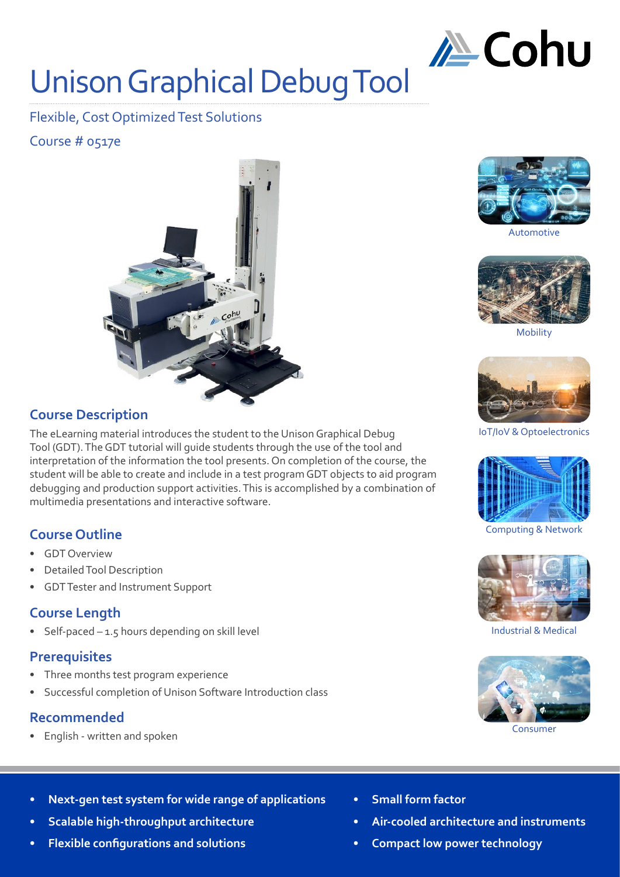

# Unison Graphical Debug Tool

Flexible, Cost Optimized Test Solutions

Course # 0517e



## **Course Description**

The eLearning material introduces the student to the Unison Graphical Debug Tool (GDT). The GDT tutorial will guide students through the use of the tool and interpretation of the information the tool presents. On completion of the course, the student will be able to create and include in a test program GDT objects to aid program debugging and production support activities. This is accomplished by a combination of multimedia presentations and interactive software.

## **Course Outline**

- GDT Overview
- Detailed Tool Description
- GDT Tester and Instrument Support

## **Course Length**

Self-paced  $-1.5$  hours depending on skill level

#### **Prerequisites**

- Three months test program experience
- Successful completion of Unison Software Introduction class

## **Recommended**

• English - written and spoken



Automotive



Mobility



IoT/IoV & Optoelectronics



Computing & Network



Industrial & Medical



Consumer

- **• Next-gen test system for wide range of applications**
- **• Scalable high-throughput architecture**
- **• Flexible configurations and solutions**
- **• Small form factor**
- **• Air-cooled architecture and instruments**
- **• Compact low power technology**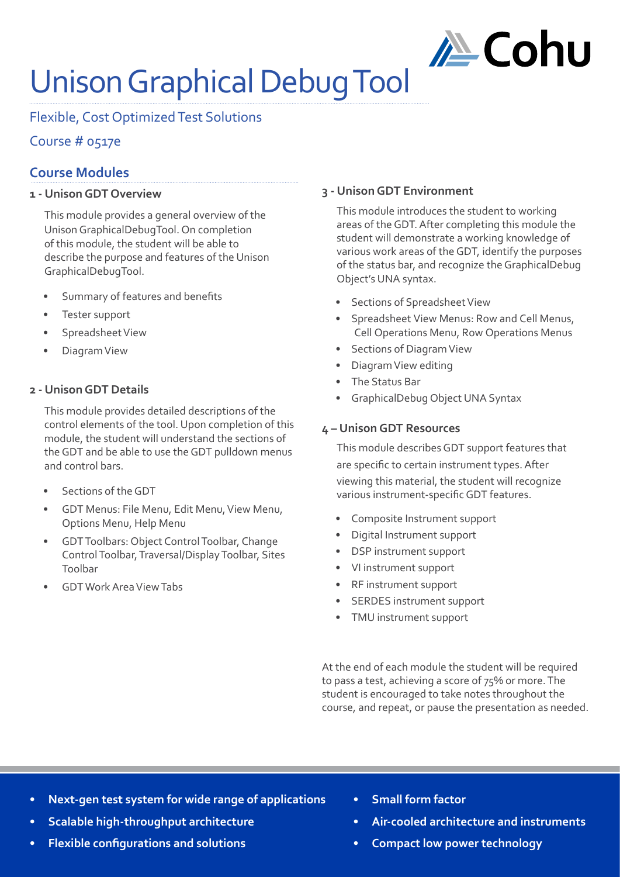

# Unison Graphical Debug Tool

Flexible, Cost Optimized Test Solutions

## Course # 0517e

# **Course Modules**

#### **1 - Unison GDT Overview**

This module provides a general overview of the Unison GraphicalDebugTool. On completion of this module, the student will be able to describe the purpose and features of the Unison GraphicalDebugTool.

- Summary of features and benefits
- Tester support
- Spreadsheet View
- Diagram View

#### **2 - Unison GDT Details**

This module provides detailed descriptions of the control elements of the tool. Upon completion of this module, the student will understand the sections of the GDT and be able to use the GDT pulldown menus and control bars.

- Sections of the GDT
- GDT Menus: File Menu, Edit Menu, View Menu, Options Menu, Help Menu
- GDT Toolbars: Object Control Toolbar, Change Control Toolbar, Traversal/Display Toolbar, Sites Toolbar
- GDT Work Area View Tabs

#### **3 - Unison GDT Environment**

This module introduces the student to working areas of the GDT. After completing this module the student will demonstrate a working knowledge of various work areas of the GDT, identify the purposes of the status bar, and recognize the GraphicalDebug Object's UNA syntax.

- Sections of Spreadsheet View
- Spreadsheet View Menus: Row and Cell Menus, Cell Operations Menu, Row Operations Menus
- Sections of Diagram View
- Diagram View editing
- The Status Bar
- GraphicalDebug Object UNA Syntax

#### **4 – Unison GDT Resources**

This module describes GDT support features that are specific to certain instrument types. After viewing this material, the student will recognize various instrument-specific GDT features.

- Composite Instrument support
- Digital Instrument support
- DSP instrument support
- VI instrument support
- RF instrument support
- SERDES instrument support
- TMU instrument support

At the end of each module the student will be required to pass a test, achieving a score of 75% or more. The student is encouraged to take notes throughout the course, and repeat, or pause the presentation as needed.

- **• Next-gen test system for wide range of applications**
- **• Scalable high-throughput architecture**
- **• Flexible configurations and solutions**
- **• Small form factor**
- **• Air-cooled architecture and instruments**
- **• Compact low power technology**